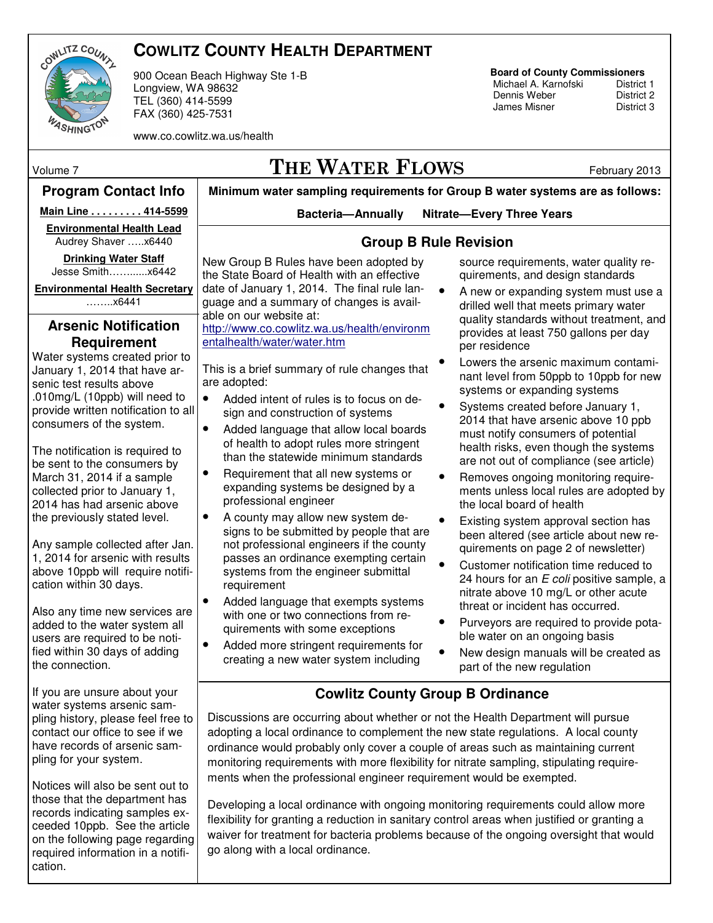

## **COWLITZ COUNTY HEALTH DEPARTMENT**

900 Ocean Beach Highway Ste 1-B Longview, WA 98632 TEL (360) 414-5599 FAX (360) 425-7531

www.co.cowlitz.wa.us/health

# **Board of County Commissioners**

Michael A. Karnofski District 1<br>Dennis Weber District 2 Dennis Weber<br>
James Misner<br>
District 3 James Misner

Volume 7  $THE WATER$   $FLOWS$  February 2013

#### **Minimum water sampling requirements for Group B water systems are as follows: Bacteria—Annually Nitrate—Every Three Years Program Contact Info**  New Group B Rules have been adopted by the State Board of Health with an effective date of January 1, 2014. The final rule language and a summary of changes is available on our website at: http://www.co.cowlitz.wa.us/health/environm entalhealth/water/water.htm This is a brief summary of rule changes that are adopted: • Added intent of rules is to focus on design and construction of systems • Added language that allow local boards of health to adopt rules more stringent than the statewide minimum standards • Requirement that all new systems or expanding systems be designed by a professional engineer • A county may allow new system designs to be submitted by people that are not professional engineers if the county passes an ordinance exempting certain systems from the engineer submittal requirement • Added language that exempts systems with one or two connections from requirements with some exceptions • Added more stringent requirements for creating a new water system including source requirements, water quality requirements, and design standards • A new or expanding system must use a drilled well that meets primary water quality standards without treatment, and provides at least 750 gallons per day per residence • Lowers the arsenic maximum contaminant level from 50ppb to 10ppb for new systems or expanding systems • Systems created before January 1, 2014 that have arsenic above 10 ppb must notify consumers of potential health risks, even though the systems are not out of compliance (see article) • Removes ongoing monitoring requirements unless local rules are adopted by the local board of health Existing system approval section has been altered (see article about new requirements on page 2 of newsletter) • Customer notification time reduced to 24 hours for an E coli positive sample, a nitrate above 10 mg/L or other acute threat or incident has occurred. • Purveyors are required to provide potable water on an ongoing basis • New design manuals will be created as part of the new regulation **Arsenic Notification Requirement**  Water systems created prior to January 1, 2014 that have arsenic test results above .010mg/L (10ppb) will need to provide written notification to all consumers of the system. The notification is required to be sent to the consumers by March 31, 2014 if a sample collected prior to January 1, 2014 has had arsenic above the previously stated level. Any sample collected after Jan. 1, 2014 for arsenic with results above 10ppb will require notification within 30 days. Also any time new services are added to the water system all users are required to be notified within 30 days of adding the connection. If you are unsure about your water systems arsenic sampling history, please feel free to contact our office to see if we have records of arsenic sampling for your system. Notices will also be sent out to those that the department has records indicating samples exceeded 10ppb. See the article on the following page regarding required information in a notification. **Group B Rule Revision Cowlitz County Group B Ordinance**  Discussions are occurring about whether or not the Health Department will pursue adopting a local ordinance to complement the new state regulations. A local county ordinance would probably only cover a couple of areas such as maintaining current monitoring requirements with more flexibility for nitrate sampling, stipulating requirements when the professional engineer requirement would be exempted. Developing a local ordinance with ongoing monitoring requirements could allow more flexibility for granting a reduction in sanitary control areas when justified or granting a waiver for treatment for bacteria problems because of the ongoing oversight that would go along with a local ordinance. **Main Line . . . . . . . . . 414-5599 Environmental Health Lead** Audrey Shaver …..x6440 **Drinking Water Staff**  Jesse Smith……......x6442 **Environmental Health Secretary** ……..x6441